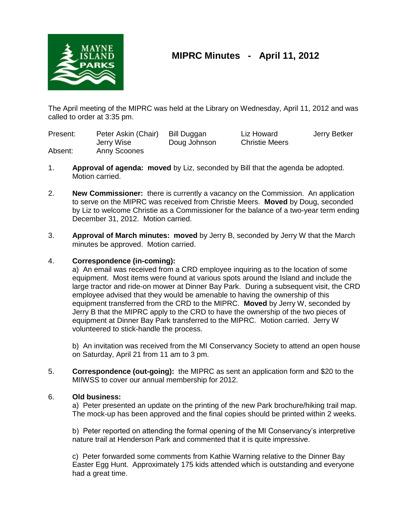

# **MIPRC Minutes - April 11, 2012**

The April meeting of the MIPRC was held at the Library on Wednesday, April 11, 2012 and was called to order at 3:35 pm.

| Present: | Peter Askin (Chair) | Bill Duggan  | Liz Howard            | Jerry Betker |
|----------|---------------------|--------------|-----------------------|--------------|
|          | Jerry Wise          | Doug Johnson | <b>Christie Meers</b> |              |
| Absent:  | Anny Scoones        |              |                       |              |

- 1. **Approval of agenda: moved** by Liz, seconded by Bill that the agenda be adopted. Motion carried.
- 2. **New Commissioner:** there is currently a vacancy on the Commission. An application to serve on the MIPRC was received from Christie Meers. **Moved** by Doug, seconded by Liz to welcome Christie as a Commissioner for the balance of a two-year term ending December 31, 2012. Motion carried.
- 3. **Approval of March minutes: moved** by Jerry B, seconded by Jerry W that the March minutes be approved. Motion carried.

# 4. **Correspondence (in-coming):**

a) An email was received from a CRD employee inquiring as to the location of some equipment. Most items were found at various spots around the Island and include the large tractor and ride-on mower at Dinner Bay Park. During a subsequent visit, the CRD employee advised that they would be amenable to having the ownership of this equipment transferred from the CRD to the MIPRC. **Moved** by Jerry W, seconded by Jerry B that the MIPRC apply to the CRD to have the ownership of the two pieces of equipment at Dinner Bay Park transferred to the MIPRC. Motion carried. Jerry W volunteered to stick-handle the process.

b) An invitation was received from the MI Conservancy Society to attend an open house on Saturday, April 21 from 11 am to 3 pm.

5. **Correspondence (out-going):** the MIPRC as sent an application form and \$20 to the MIIWSS to cover our annual membership for 2012.

# 6. **Old business:**

a) Peter presented an update on the printing of the new Park brochure/hiking trail map. The mock-up has been approved and the final copies should be printed within 2 weeks.

b) Peter reported on attending the formal opening of the MI Conservancy's interpretive nature trail at Henderson Park and commented that it is quite impressive.

c) Peter forwarded some comments from Kathie Warning relative to the Dinner Bay Easter Egg Hunt. Approximately 175 kids attended which is outstanding and everyone had a great time.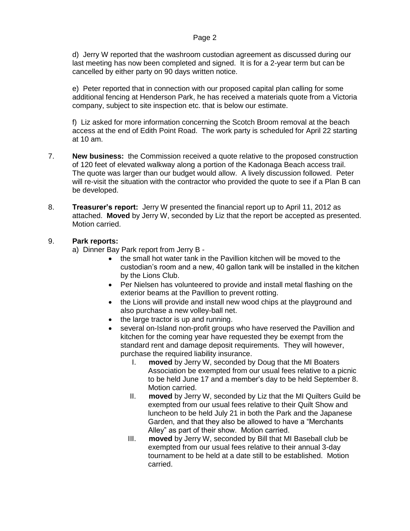### Page 2

d) Jerry W reported that the washroom custodian agreement as discussed during our last meeting has now been completed and signed. It is for a 2-year term but can be cancelled by either party on 90 days written notice.

e) Peter reported that in connection with our proposed capital plan calling for some additional fencing at Henderson Park, he has received a materials quote from a Victoria company, subject to site inspection etc. that is below our estimate.

f) Liz asked for more information concerning the Scotch Broom removal at the beach access at the end of Edith Point Road. The work party is scheduled for April 22 starting at 10 am.

- 7. **New business:** the Commission received a quote relative to the proposed construction of 120 feet of elevated walkway along a portion of the Kadonaga Beach access trail. The quote was larger than our budget would allow. A lively discussion followed. Peter will re-visit the situation with the contractor who provided the quote to see if a Plan B can be developed.
- 8. **Treasurer's report:** Jerry W presented the financial report up to April 11, 2012 as attached. **Moved** by Jerry W, seconded by Liz that the report be accepted as presented. Motion carried.

# 9. **Park reports:**

a) Dinner Bay Park report from Jerry B -

- the small hot water tank in the Pavillion kitchen will be moved to the custodian's room and a new, 40 gallon tank will be installed in the kitchen by the Lions Club.
- Per Nielsen has volunteered to provide and install metal flashing on the exterior beams at the Pavillion to prevent rotting.
- the Lions will provide and install new wood chips at the playground and also purchase a new volley-ball net.
- the large tractor is up and running.
- several on-Island non-profit groups who have reserved the Pavillion and kitchen for the coming year have requested they be exempt from the standard rent and damage deposit requirements. They will however, purchase the required liability insurance.
	- I. **moved** by Jerry W, seconded by Doug that the MI Boaters Association be exempted from our usual fees relative to a picnic to be held June 17 and a member's day to be held September 8. Motion carried.
	- II. **moved** by Jerry W, seconded by Liz that the MI Quilters Guild be exempted from our usual fees relative to their Quilt Show and luncheon to be held July 21 in both the Park and the Japanese Garden, and that they also be allowed to have a "Merchants Alley" as part of their show. Motion carried.
	- III. **moved** by Jerry W, seconded by Bill that MI Baseball club be exempted from our usual fees relative to their annual 3-day tournament to be held at a date still to be established. Motion carried.